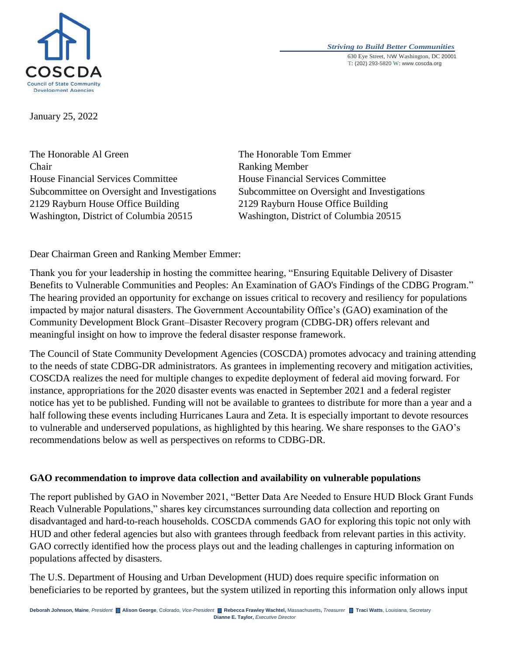

*Striving to Build Better Communities* 630 Eye Street, NW Washington, DC 20001 T: (202) 293-5820 W: www.coscda.org

January 25, 2022

The Honorable Al Green The Honorable Tom Emmer Chair Ranking Member House Financial Services Committee House Financial Services Committee Subcommittee on Oversight and Investigations Subcommittee on Oversight and Investigations 2129 Rayburn House Office Building 2129 Rayburn House Office Building Washington, District of Columbia 20515 Washington, District of Columbia 20515

Dear Chairman Green and Ranking Member Emmer:

Thank you for your leadership in hosting the committee hearing, "Ensuring Equitable Delivery of Disaster Benefits to Vulnerable Communities and Peoples: An Examination of GAO's Findings of the CDBG Program." The hearing provided an opportunity for exchange on issues critical to recovery and resiliency for populations impacted by major natural disasters. The Government Accountability Office's (GAO) examination of the Community Development Block Grant–Disaster Recovery program (CDBG-DR) offers relevant and meaningful insight on how to improve the federal disaster response framework.

The Council of State Community Development Agencies (COSCDA) promotes advocacy and training attending to the needs of state CDBG-DR administrators. As grantees in implementing recovery and mitigation activities, COSCDA realizes the need for multiple changes to expedite deployment of federal aid moving forward. For instance, appropriations for the 2020 disaster events was enacted in September 2021 and a federal register notice has yet to be published. Funding will not be available to grantees to distribute for more than a year and a half following these events including Hurricanes Laura and Zeta. It is especially important to devote resources to vulnerable and underserved populations, as highlighted by this hearing. We share responses to the GAO's recommendations below as well as perspectives on reforms to CDBG-DR.

#### **GAO recommendation to improve data collection and availability on vulnerable populations**

The report published by GAO in November 2021, "Better Data Are Needed to Ensure HUD Block Grant Funds Reach Vulnerable Populations," shares key circumstances surrounding data collection and reporting on disadvantaged and hard-to-reach households. COSCDA commends GAO for exploring this topic not only with HUD and other federal agencies but also with grantees through feedback from relevant parties in this activity. GAO correctly identified how the process plays out and the leading challenges in capturing information on populations affected by disasters.

The U.S. Department of Housing and Urban Development (HUD) does require specific information on beneficiaries to be reported by grantees, but the system utilized in reporting this information only allows input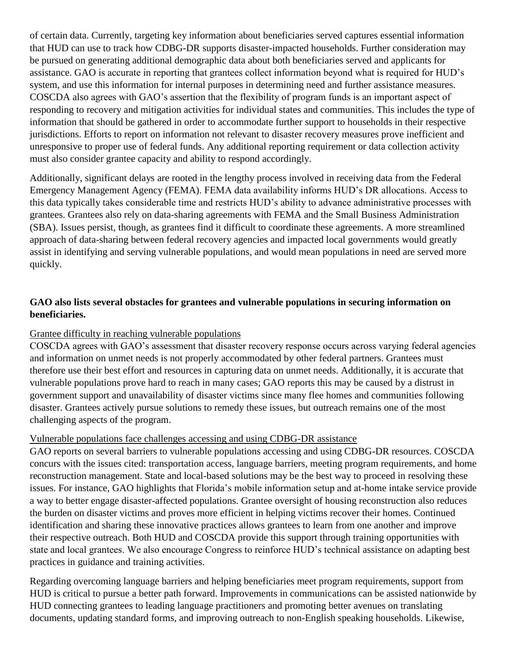of certain data. Currently, targeting key information about beneficiaries served captures essential information that HUD can use to track how CDBG-DR supports disaster-impacted households. Further consideration may be pursued on generating additional demographic data about both beneficiaries served and applicants for assistance. GAO is accurate in reporting that grantees collect information beyond what is required for HUD's system, and use this information for internal purposes in determining need and further assistance measures. COSCDA also agrees with GAO's assertion that the flexibility of program funds is an important aspect of responding to recovery and mitigation activities for individual states and communities. This includes the type of information that should be gathered in order to accommodate further support to households in their respective jurisdictions. Efforts to report on information not relevant to disaster recovery measures prove inefficient and unresponsive to proper use of federal funds. Any additional reporting requirement or data collection activity must also consider grantee capacity and ability to respond accordingly.

Additionally, significant delays are rooted in the lengthy process involved in receiving data from the Federal Emergency Management Agency (FEMA). FEMA data availability informs HUD's DR allocations. Access to this data typically takes considerable time and restricts HUD's ability to advance administrative processes with grantees. Grantees also rely on data-sharing agreements with FEMA and the Small Business Administration (SBA). Issues persist, though, as grantees find it difficult to coordinate these agreements. A more streamlined approach of data-sharing between federal recovery agencies and impacted local governments would greatly assist in identifying and serving vulnerable populations, and would mean populations in need are served more quickly.

# **GAO also lists several obstacles for grantees and vulnerable populations in securing information on beneficiaries.**

### Grantee difficulty in reaching vulnerable populations

COSCDA agrees with GAO's assessment that disaster recovery response occurs across varying federal agencies and information on unmet needs is not properly accommodated by other federal partners. Grantees must therefore use their best effort and resources in capturing data on unmet needs. Additionally, it is accurate that vulnerable populations prove hard to reach in many cases; GAO reports this may be caused by a distrust in government support and unavailability of disaster victims since many flee homes and communities following disaster. Grantees actively pursue solutions to remedy these issues, but outreach remains one of the most challenging aspects of the program.

### Vulnerable populations face challenges accessing and using CDBG-DR assistance

GAO reports on several barriers to vulnerable populations accessing and using CDBG-DR resources. COSCDA concurs with the issues cited: transportation access, language barriers, meeting program requirements, and home reconstruction management. State and local-based solutions may be the best way to proceed in resolving these issues. For instance, GAO highlights that Florida's mobile information setup and at-home intake service provide a way to better engage disaster-affected populations. Grantee oversight of housing reconstruction also reduces the burden on disaster victims and proves more efficient in helping victims recover their homes. Continued identification and sharing these innovative practices allows grantees to learn from one another and improve their respective outreach. Both HUD and COSCDA provide this support through training opportunities with state and local grantees. We also encourage Congress to reinforce HUD's technical assistance on adapting best practices in guidance and training activities.

Regarding overcoming language barriers and helping beneficiaries meet program requirements, support from HUD is critical to pursue a better path forward. Improvements in communications can be assisted nationwide by HUD connecting grantees to leading language practitioners and promoting better avenues on translating documents, updating standard forms, and improving outreach to non-English speaking households. Likewise,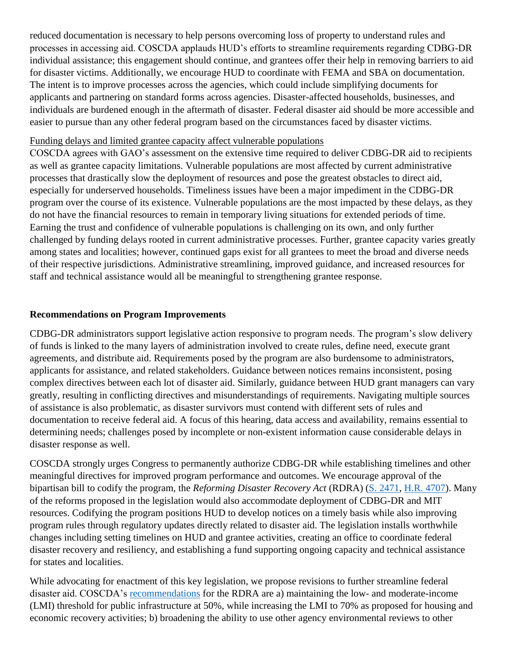reduced documentation is necessary to help persons overcoming loss of property to understand rules and processes in accessing aid. COSCDA applauds HUD's efforts to streamline requirements regarding CDBG-DR individual assistance; this engagement should continue, and grantees offer their help in removing barriers to aid for disaster victims. Additionally, we encourage HUD to coordinate with FEMA and SBA on documentation. The intent is to improve processes across the agencies, which could include simplifying documents for applicants and partnering on standard forms across agencies. Disaster-affected households, businesses, and individuals are burdened enough in the aftermath of disaster. Federal disaster aid should be more accessible and easier to pursue than any other federal program based on the circumstances faced by disaster victims.

#### Funding delays and limited grantee capacity affect vulnerable populations

COSCDA agrees with GAO's assessment on the extensive time required to deliver CDBG-DR aid to recipients as well as grantee capacity limitations. Vulnerable populations are most affected by current administrative processes that drastically slow the deployment of resources and pose the greatest obstacles to direct aid, especially for underserved households. Timeliness issues have been a major impediment in the CDBG-DR program over the course of its existence. Vulnerable populations are the most impacted by these delays, as they do not have the financial resources to remain in temporary living situations for extended periods of time. Earning the trust and confidence of vulnerable populations is challenging on its own, and only further challenged by funding delays rooted in current administrative processes. Further, grantee capacity varies greatly among states and localities; however, continued gaps exist for all grantees to meet the broad and diverse needs of their respective jurisdictions. Administrative streamlining, improved guidance, and increased resources for staff and technical assistance would all be meaningful to strengthening grantee response.

## **Recommendations on Program Improvements**

CDBG-DR administrators support legislative action responsive to program needs. The program's slow delivery of funds is linked to the many layers of administration involved to create rules, define need, execute grant agreements, and distribute aid. Requirements posed by the program are also burdensome to administrators, applicants for assistance, and related stakeholders. Guidance between notices remains inconsistent, posing complex directives between each lot of disaster aid. Similarly, guidance between HUD grant managers can vary greatly, resulting in conflicting directives and misunderstandings of requirements. Navigating multiple sources of assistance is also problematic, as disaster survivors must contend with different sets of rules and documentation to receive federal aid. A focus of this hearing, data access and availability, remains essential to determining needs; challenges posed by incomplete or non-existent information cause considerable delays in disaster response as well.

COSCDA strongly urges Congress to permanently authorize CDBG-DR while establishing timelines and other meaningful directives for improved program performance and outcomes. We encourage approval of the bipartisan bill to codify the program, the *Reforming Disaster Recovery Act* (RDRA) [\(S. 2471,](https://www.congress.gov/117/bills/s2471/BILLS-117s2471is.pdf) [H.R. 4707\)](https://www.congress.gov/117/bills/hr4707/BILLS-117hr4707ih.pdf). Many of the reforms proposed in the legislation would also accommodate deployment of CDBG-DR and MIT resources. Codifying the program positions HUD to develop notices on a timely basis while also improving program rules through regulatory updates directly related to disaster aid. The legislation installs worthwhile changes including setting timelines on HUD and grantee activities, creating an office to coordinate federal disaster recovery and resiliency, and establishing a fund supporting ongoing capacity and technical assistance for states and localities.

While advocating for enactment of this key legislation, we propose revisions to further streamline federal disaster aid. COSCDA's [recommendations](https://coscda.org/wp-content/uploads/2021/10/COSCDA-Recommendations-Reforming-Disaster-Recovery-Act-FINALOct152021.pdf) for the RDRA are a) maintaining the low- and moderate-income (LMI) threshold for public infrastructure at 50%, while increasing the LMI to 70% as proposed for housing and economic recovery activities; b) broadening the ability to use other agency environmental reviews to other